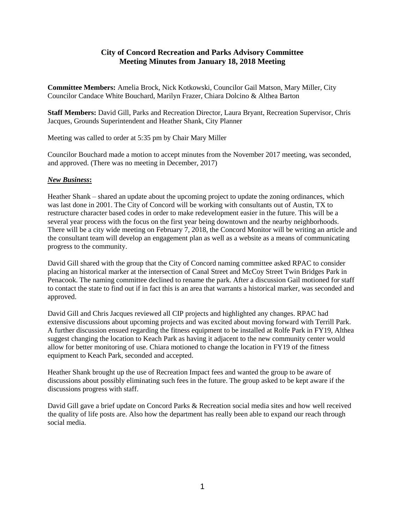## **City of Concord Recreation and Parks Advisory Committee Meeting Minutes from January 18, 2018 Meeting**

**Committee Members:** Amelia Brock, Nick Kotkowski, Councilor Gail Matson, Mary Miller, City Councilor Candace White Bouchard, Marilyn Frazer, Chiara Dolcino & Althea Barton

**Staff Members:** David Gill, Parks and Recreation Director, Laura Bryant, Recreation Supervisor, Chris Jacques, Grounds Superintendent and Heather Shank, City Planner

Meeting was called to order at 5:35 pm by Chair Mary Miller

Councilor Bouchard made a motion to accept minutes from the November 2017 meeting, was seconded, and approved. (There was no meeting in December, 2017)

## *New Business***:**

Heather Shank – shared an update about the upcoming project to update the zoning ordinances, which was last done in 2001. The City of Concord will be working with consultants out of Austin, TX to restructure character based codes in order to make redevelopment easier in the future. This will be a several year process with the focus on the first year being downtown and the nearby neighborhoods. There will be a city wide meeting on February 7, 2018, the Concord Monitor will be writing an article and the consultant team will develop an engagement plan as well as a website as a means of communicating progress to the community.

David Gill shared with the group that the City of Concord naming committee asked RPAC to consider placing an historical marker at the intersection of Canal Street and McCoy Street Twin Bridges Park in Penacook. The naming committee declined to rename the park. After a discussion Gail motioned for staff to contact the state to find out if in fact this is an area that warrants a historical marker, was seconded and approved.

David Gill and Chris Jacques reviewed all CIP projects and highlighted any changes. RPAC had extensive discussions about upcoming projects and was excited about moving forward with Terrill Park. A further discussion ensued regarding the fitness equipment to be installed at Rolfe Park in FY19, Althea suggest changing the location to Keach Park as having it adjacent to the new community center would allow for better monitoring of use. Chiara motioned to change the location in FY19 of the fitness equipment to Keach Park, seconded and accepted.

Heather Shank brought up the use of Recreation Impact fees and wanted the group to be aware of discussions about possibly eliminating such fees in the future. The group asked to be kept aware if the discussions progress with staff.

David Gill gave a brief update on Concord Parks & Recreation social media sites and how well received the quality of life posts are. Also how the department has really been able to expand our reach through social media.